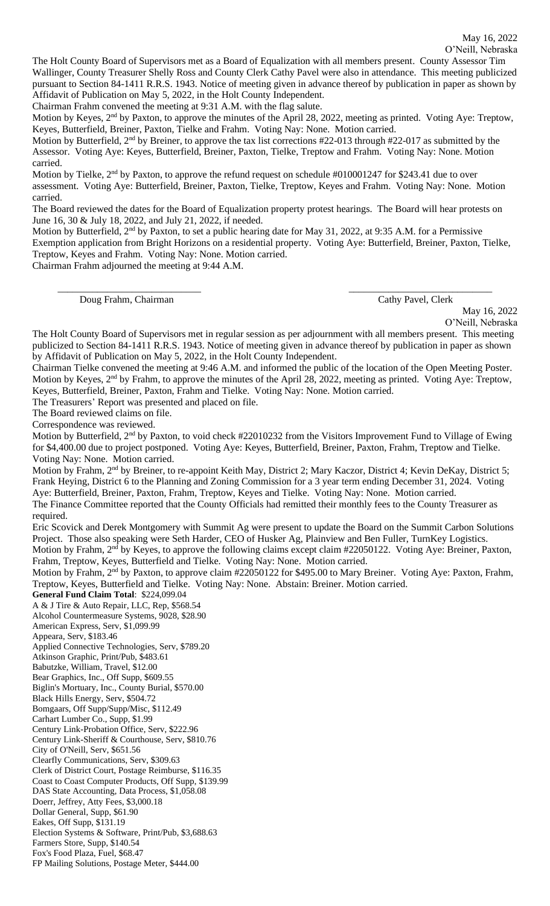The Holt County Board of Supervisors met as a Board of Equalization with all members present. County Assessor Tim Wallinger, County Treasurer Shelly Ross and County Clerk Cathy Pavel were also in attendance. This meeting publicized pursuant to Section 84-1411 R.R.S. 1943. Notice of meeting given in advance thereof by publication in paper as shown by Affidavit of Publication on May 5, 2022, in the Holt County Independent.

Chairman Frahm convened the meeting at 9:31 A.M. with the flag salute.

Motion by Keyes, 2<sup>nd</sup> by Paxton, to approve the minutes of the April 28, 2022, meeting as printed. Voting Aye: Treptow, Keyes, Butterfield, Breiner, Paxton, Tielke and Frahm. Voting Nay: None. Motion carried.

Motion by Butterfield, 2<sup>nd</sup> by Breiner, to approve the tax list corrections #22-013 through #22-017 as submitted by the Assessor. Voting Aye: Keyes, Butterfield, Breiner, Paxton, Tielke, Treptow and Frahm. Voting Nay: None. Motion carried.

Motion by Tielke,  $2<sup>nd</sup>$  by Paxton, to approve the refund request on schedule #010001247 for \$243.41 due to over assessment. Voting Aye: Butterfield, Breiner, Paxton, Tielke, Treptow, Keyes and Frahm. Voting Nay: None. Motion carried.

The Board reviewed the dates for the Board of Equalization property protest hearings. The Board will hear protests on June 16, 30 & July 18, 2022, and July 21, 2022, if needed.

Motion by Butterfield,  $2<sup>nd</sup>$  by Paxton, to set a public hearing date for May 31, 2022, at 9:35 A.M. for a Permissive Exemption application from Bright Horizons on a residential property. Voting Aye: Butterfield, Breiner, Paxton, Tielke, Treptow, Keyes and Frahm. Voting Nay: None. Motion carried.

\_\_\_\_\_\_\_\_\_\_\_\_\_\_\_\_\_\_\_\_\_\_\_\_\_\_\_\_\_ \_\_\_\_\_\_\_\_\_\_\_\_\_\_\_\_\_\_\_\_\_\_\_\_\_\_\_\_\_

Chairman Frahm adjourned the meeting at 9:44 A.M.

Doug Frahm, Chairman Cathy Pavel, Clerk

May 16, 2022 O'Neill, Nebraska

The Holt County Board of Supervisors met in regular session as per adjournment with all members present. This meeting publicized to Section 84-1411 R.R.S. 1943. Notice of meeting given in advance thereof by publication in paper as shown by Affidavit of Publication on May 5, 2022, in the Holt County Independent.

Chairman Tielke convened the meeting at 9:46 A.M. and informed the public of the location of the Open Meeting Poster. Motion by Keyes, 2<sup>nd</sup> by Frahm, to approve the minutes of the April 28, 2022, meeting as printed. Voting Aye: Treptow, Keyes, Butterfield, Breiner, Paxton, Frahm and Tielke. Voting Nay: None. Motion carried.

The Treasurers' Report was presented and placed on file.

The Board reviewed claims on file.

Correspondence was reviewed.

Motion by Butterfield, 2<sup>nd</sup> by Paxton, to void check #22010232 from the Visitors Improvement Fund to Village of Ewing for \$4,400.00 due to project postponed. Voting Aye: Keyes, Butterfield, Breiner, Paxton, Frahm, Treptow and Tielke. Voting Nay: None. Motion carried.

Motion by Frahm, 2<sup>nd</sup> by Breiner, to re-appoint Keith May, District 2; Mary Kaczor, District 4; Kevin DeKay, District 5; Frank Heying, District 6 to the Planning and Zoning Commission for a 3 year term ending December 31, 2024. Voting Aye: Butterfield, Breiner, Paxton, Frahm, Treptow, Keyes and Tielke. Voting Nay: None. Motion carried.

The Finance Committee reported that the County Officials had remitted their monthly fees to the County Treasurer as required.

Eric Scovick and Derek Montgomery with Summit Ag were present to update the Board on the Summit Carbon Solutions Project. Those also speaking were Seth Harder, CEO of Husker Ag, Plainview and Ben Fuller, TurnKey Logistics. Motion by Frahm, 2nd by Keyes, to approve the following claims except claim #22050122. Voting Aye: Breiner, Paxton,

Frahm, Treptow, Keyes, Butterfield and Tielke. Voting Nay: None. Motion carried.

Motion by Frahm, 2<sup>nd</sup> by Paxton, to approve claim #22050122 for \$495.00 to Mary Breiner. Voting Aye: Paxton, Frahm, Treptow, Keyes, Butterfield and Tielke. Voting Nay: None. Abstain: Breiner. Motion carried.

**General Fund Claim Total**: \$224,099.04

A & J Tire & Auto Repair, LLC, Rep, \$568.54 Alcohol Countermeasure Systems, 9028, \$28.90

American Express, Serv, \$1,099.99 Appeara, Serv, \$183.46

Applied Connective Technologies, Serv, \$789.20

Atkinson Graphic, Print/Pub, \$483.61

Babutzke, William, Travel, \$12.00

Bear Graphics, Inc., Off Supp, \$609.55

Biglin's Mortuary, Inc., County Burial, \$570.00

Black Hills Energy, Serv, \$504.72

Bomgaars, Off Supp/Supp/Misc, \$112.49

Carhart Lumber Co., Supp, \$1.99

Century Link-Probation Office, Serv, \$222.96

Century Link-Sheriff & Courthouse, Serv, \$810.76 City of O'Neill, Serv, \$651.56

Clearfly Communications, Serv, \$309.63

Clerk of District Court, Postage Reimburse, \$116.35

Coast to Coast Computer Products, Off Supp, \$139.99

DAS State Accounting, Data Process, \$1,058.08

Doerr, Jeffrey, Atty Fees, \$3,000.18

Dollar General, Supp, \$61.90

Eakes, Off Supp, \$131.19

Election Systems & Software, Print/Pub, \$3,688.63 Farmers Store, Supp, \$140.54

Fox's Food Plaza, Fuel, \$68.47

FP Mailing Solutions, Postage Meter, \$444.00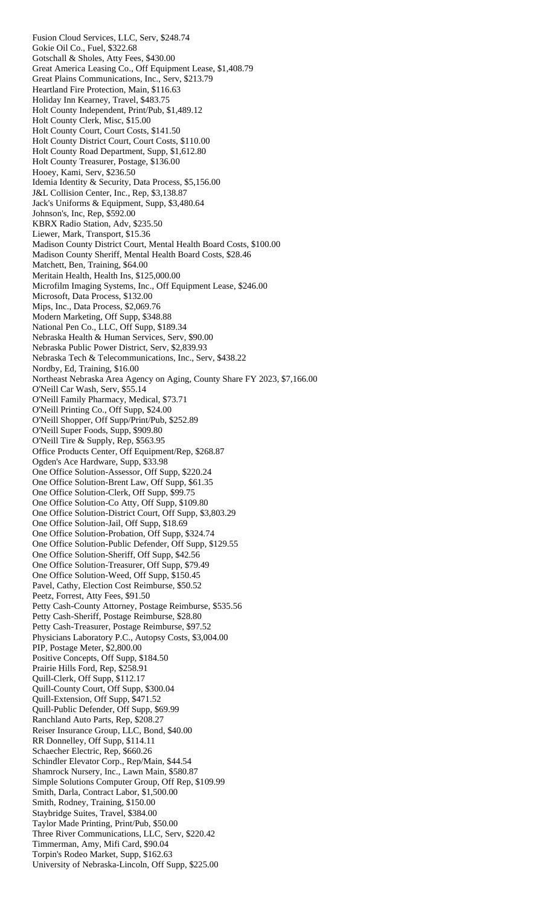Fusion Cloud Services, LLC, Serv, \$248.74 Gokie Oil Co., Fuel, \$322.68 Gotschall & Sholes, Atty Fees, \$430.00 Great America Leasing Co., Off Equipment Lease, \$1,408.79 Great Plains Communications, Inc., Serv, \$213.79 Heartland Fire Protection, Main, \$116.63 Holiday Inn Kearney, Travel, \$483.75 Holt County Independent, Print/Pub, \$1,489.12 Holt County Clerk, Misc, \$15.00 Holt County Court, Court Costs, \$141.50 Holt County District Court, Court Costs, \$110.00 Holt County Road Department, Supp, \$1,612.80 Holt County Treasurer, Postage, \$136.00 Hooey, Kami, Serv, \$236.50 Idemia Identity & Security, Data Process, \$5,156.00 J&L Collision Center, Inc., Rep, \$3,138.87 Jack's Uniforms & Equipment, Supp, \$3,480.64 Johnson's, Inc, Rep, \$592.00 KBRX Radio Station, Adv, \$235.50 Liewer, Mark, Transport, \$15.36 Madison County District Court, Mental Health Board Costs, \$100.00 Madison County Sheriff, Mental Health Board Costs, \$28.46 Matchett, Ben, Training, \$64.00 Meritain Health, Health Ins, \$125,000.00 Microfilm Imaging Systems, Inc., Off Equipment Lease, \$246.00 Microsoft, Data Process, \$132.00 Mips, Inc., Data Process, \$2,069.76 Modern Marketing, Off Supp, \$348.88 National Pen Co., LLC, Off Supp, \$189.34 Nebraska Health & Human Services, Serv, \$90.00 Nebraska Public Power District, Serv, \$2,839.93 Nebraska Tech & Telecommunications, Inc., Serv, \$438.22 Nordby, Ed, Training, \$16.00 Northeast Nebraska Area Agency on Aging, County Share FY 2023, \$7,166.00 O'Neill Car Wash, Serv, \$55.14 O'Neill Family Pharmacy, Medical, \$73.71 O'Neill Printing Co., Off Supp, \$24.00 O'Neill Shopper, Off Supp/Print/Pub, \$252.89 O'Neill Super Foods, Supp, \$909.80 O'Neill Tire & Supply, Rep, \$563.95 Office Products Center, Off Equipment/Rep, \$268.87 Ogden's Ace Hardware, Supp, \$33.98 One Office Solution-Assessor, Off Supp, \$220.24 One Office Solution-Brent Law, Off Supp, \$61.35 One Office Solution-Clerk, Off Supp, \$99.75 One Office Solution-Co Atty, Off Supp, \$109.80 One Office Solution-District Court, Off Supp, \$3,803.29 One Office Solution-Jail, Off Supp, \$18.69 One Office Solution-Probation, Off Supp, \$324.74 One Office Solution-Public Defender, Off Supp, \$129.55 One Office Solution-Sheriff, Off Supp, \$42.56 One Office Solution-Treasurer, Off Supp, \$79.49 One Office Solution-Weed, Off Supp, \$150.45 Pavel, Cathy, Election Cost Reimburse, \$50.52 Peetz, Forrest, Atty Fees, \$91.50 Petty Cash-County Attorney, Postage Reimburse, \$535.56 Petty Cash-Sheriff, Postage Reimburse, \$28.80 Petty Cash-Treasurer, Postage Reimburse, \$97.52 Physicians Laboratory P.C., Autopsy Costs, \$3,004.00 PIP, Postage Meter, \$2,800.00 Positive Concepts, Off Supp, \$184.50 Prairie Hills Ford, Rep, \$258.91 Quill-Clerk, Off Supp, \$112.17 Quill-County Court, Off Supp, \$300.04 Quill-Extension, Off Supp, \$471.52 Quill-Public Defender, Off Supp, \$69.99 Ranchland Auto Parts, Rep, \$208.27 Reiser Insurance Group, LLC, Bond, \$40.00 RR Donnelley, Off Supp, \$114.11 Schaecher Electric, Rep, \$660.26 Schindler Elevator Corp., Rep/Main, \$44.54 Shamrock Nursery, Inc., Lawn Main, \$580.87 Simple Solutions Computer Group, Off Rep, \$109.99 Smith, Darla, Contract Labor, \$1,500.00 Smith, Rodney, Training, \$150.00 Staybridge Suites, Travel, \$384.00 Taylor Made Printing, Print/Pub, \$50.00 Three River Communications, LLC, Serv, \$220.42 Timmerman, Amy, Mifi Card, \$90.04 Torpin's Rodeo Market, Supp, \$162.63 University of Nebraska-Lincoln, Off Supp, \$225.00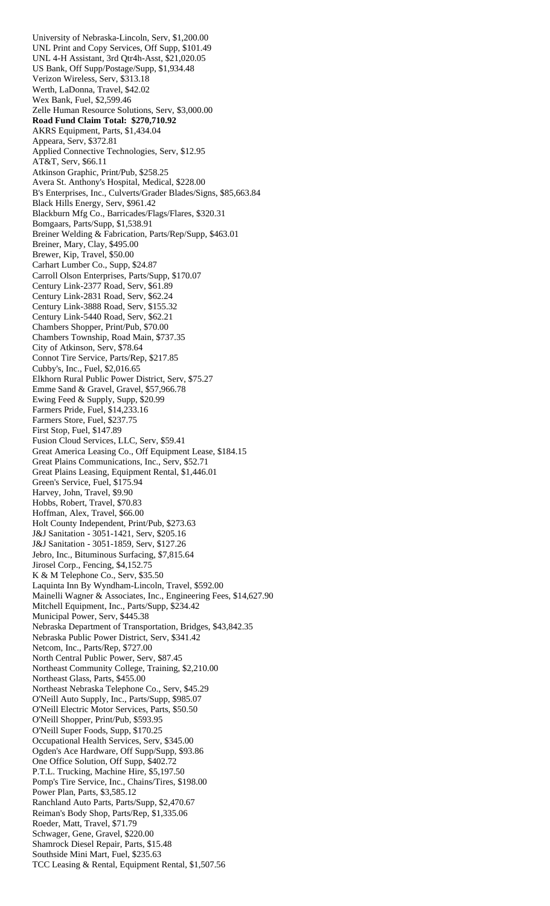University of Nebraska-Lincoln, Serv, \$1,200.00 UNL Print and Copy Services, Off Supp, \$101.49 UNL 4-H Assistant, 3rd Qtr4h-Asst, \$21,020.05 US Bank, Off Supp/Postage/Supp, \$1,934.48 Verizon Wireless, Serv, \$313.18 Werth, LaDonna, Travel, \$42.02 Wex Bank, Fuel, \$2,599.46 Zelle Human Resource Solutions, Serv, \$3,000.00 **Road Fund Claim Total: \$270,710.92**  AKRS Equipment, Parts, \$1,434.04 Appeara, Serv, \$372.81 Applied Connective Technologies, Serv, \$12.95 AT&T, Serv, \$66.11 Atkinson Graphic, Print/Pub, \$258.25 Avera St. Anthony's Hospital, Medical, \$228.00 B's Enterprises, Inc., Culverts/Grader Blades/Signs, \$85,663.84 Black Hills Energy, Serv, \$961.42 Blackburn Mfg Co., Barricades/Flags/Flares, \$320.31 Bomgaars, Parts/Supp, \$1,538.91 Breiner Welding & Fabrication, Parts/Rep/Supp, \$463.01 Breiner, Mary, Clay, \$495.00 Brewer, Kip, Travel, \$50.00 Carhart Lumber Co., Supp, \$24.87 Carroll Olson Enterprises, Parts/Supp, \$170.07 Century Link-2377 Road, Serv, \$61.89 Century Link-2831 Road, Serv, \$62.24 Century Link-3888 Road, Serv, \$155.32 Century Link-5440 Road, Serv, \$62.21 Chambers Shopper, Print/Pub, \$70.00 Chambers Township, Road Main, \$737.35 City of Atkinson, Serv, \$78.64 Connot Tire Service, Parts/Rep, \$217.85 Cubby's, Inc., Fuel, \$2,016.65 Elkhorn Rural Public Power District, Serv, \$75.27 Emme Sand & Gravel, Gravel, \$57,966.78 Ewing Feed & Supply, Supp, \$20.99 Farmers Pride, Fuel, \$14,233.16 Farmers Store, Fuel, \$237.75 First Stop, Fuel, \$147.89 Fusion Cloud Services, LLC, Serv, \$59.41 Great America Leasing Co., Off Equipment Lease, \$184.15 Great Plains Communications, Inc., Serv, \$52.71 Great Plains Leasing, Equipment Rental, \$1,446.01 Green's Service, Fuel, \$175.94 Harvey, John, Travel, \$9.90 Hobbs, Robert, Travel, \$70.83 Hoffman, Alex, Travel, \$66.00 Holt County Independent, Print/Pub, \$273.63 J&J Sanitation - 3051-1421, Serv, \$205.16 J&J Sanitation - 3051-1859, Serv, \$127.26 Jebro, Inc., Bituminous Surfacing, \$7,815.64 Jirosel Corp., Fencing, \$4,152.75 K & M Telephone Co., Serv, \$35.50 Laquinta Inn By Wyndham-Lincoln, Travel, \$592.00 Mainelli Wagner & Associates, Inc., Engineering Fees, \$14,627.90 Mitchell Equipment, Inc., Parts/Supp, \$234.42 Municipal Power, Serv, \$445.38 Nebraska Department of Transportation, Bridges, \$43,842.35 Nebraska Public Power District, Serv, \$341.42 Netcom, Inc., Parts/Rep, \$727.00 North Central Public Power, Serv, \$87.45 Northeast Community College, Training, \$2,210.00 Northeast Glass, Parts, \$455.00 Northeast Nebraska Telephone Co., Serv, \$45.29 O'Neill Auto Supply, Inc., Parts/Supp, \$985.07 O'Neill Electric Motor Services, Parts, \$50.50 O'Neill Shopper, Print/Pub, \$593.95 O'Neill Super Foods, Supp, \$170.25 Occupational Health Services, Serv, \$345.00 Ogden's Ace Hardware, Off Supp/Supp, \$93.86 One Office Solution, Off Supp, \$402.72 P.T.L. Trucking, Machine Hire, \$5,197.50 Pomp's Tire Service, Inc., Chains/Tires, \$198.00 Power Plan, Parts, \$3,585.12 Ranchland Auto Parts, Parts/Supp, \$2,470.67 Reiman's Body Shop, Parts/Rep, \$1,335.06 Roeder, Matt, Travel, \$71.79 Schwager, Gene, Gravel, \$220.00 Shamrock Diesel Repair, Parts, \$15.48 Southside Mini Mart, Fuel, \$235.63 TCC Leasing & Rental, Equipment Rental, \$1,507.56